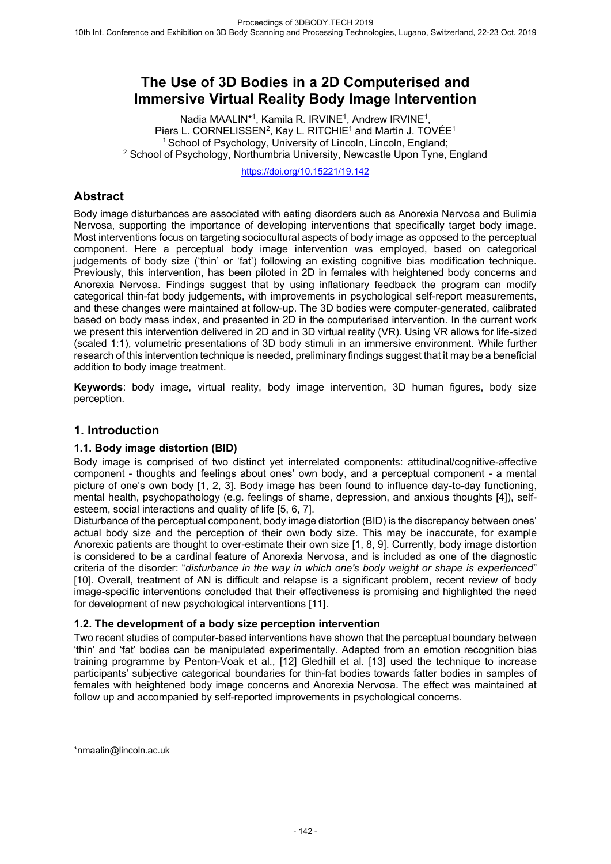# **The Use of 3D Bodies in a 2D Computerised and Immersive Virtual Reality Body Image Intervention**

Nadia MAALIN<sup>\*1</sup>, Kamila R. IRVINE<sup>1</sup>, Andrew IRVINE<sup>1</sup>, Piers L. CORNELISSEN<sup>2</sup>, Kay L. RITCHIE<sup>1</sup> and Martin J. TOVÉE<sup>1</sup> <sup>1</sup> School of Psychology, University of Lincoln, Lincoln, England; <sup>2</sup> School of Psychology, Northumbria University, Newcastle Upon Tyne, England

https://doi.org/10.15221/19.142

## **Abstract**

Body image disturbances are associated with eating disorders such as Anorexia Nervosa and Bulimia Nervosa, supporting the importance of developing interventions that specifically target body image. Most interventions focus on targeting sociocultural aspects of body image as opposed to the perceptual component. Here a perceptual body image intervention was employed, based on categorical judgements of body size ('thin' or 'fat') following an existing cognitive bias modification technique. Previously, this intervention, has been piloted in 2D in females with heightened body concerns and Anorexia Nervosa. Findings suggest that by using inflationary feedback the program can modify categorical thin-fat body judgements, with improvements in psychological self-report measurements, and these changes were maintained at follow-up. The 3D bodies were computer-generated, calibrated based on body mass index, and presented in 2D in the computerised intervention. In the current work we present this intervention delivered in 2D and in 3D virtual reality (VR). Using VR allows for life-sized (scaled 1:1), volumetric presentations of 3D body stimuli in an immersive environment. While further research of this intervention technique is needed, preliminary findings suggest that it may be a beneficial addition to body image treatment.

**Keywords**: body image, virtual reality, body image intervention, 3D human figures, body size perception.

## **1. Introduction**

## **1.1. Body image distortion (BID)**

Body image is comprised of two distinct yet interrelated components: attitudinal/cognitive-affective component - thoughts and feelings about ones' own body, and a perceptual component - a mental picture of one's own body [1, 2, 3]. Body image has been found to influence day-to-day functioning, mental health, psychopathology (e.g. feelings of shame, depression, and anxious thoughts [4]), selfesteem, social interactions and quality of life [5, 6, 7].

Disturbance of the perceptual component, body image distortion (BID) is the discrepancy between ones' actual body size and the perception of their own body size. This may be inaccurate, for example Anorexic patients are thought to over-estimate their own size [1, 8, 9]. Currently, body image distortion is considered to be a cardinal feature of Anorexia Nervosa, and is included as one of the diagnostic criteria of the disorder: "*disturbance in the way in which one's body weight or shape is experienced*" [10]. Overall, treatment of AN is difficult and relapse is a significant problem, recent review of body image-specific interventions concluded that their effectiveness is promising and highlighted the need for development of new psychological interventions [11].

#### **1.2. The development of a body size perception intervention**

Two recent studies of computer-based interventions have shown that the perceptual boundary between 'thin' and 'fat' bodies can be manipulated experimentally. Adapted from an emotion recognition bias training programme by Penton-Voak et al., [12] Gledhill et al. [13] used the technique to increase participants' subjective categorical boundaries for thin-fat bodies towards fatter bodies in samples of females with heightened body image concerns and Anorexia Nervosa. The effect was maintained at follow up and accompanied by self-reported improvements in psychological concerns.

\*nmaalin@lincoln.ac.uk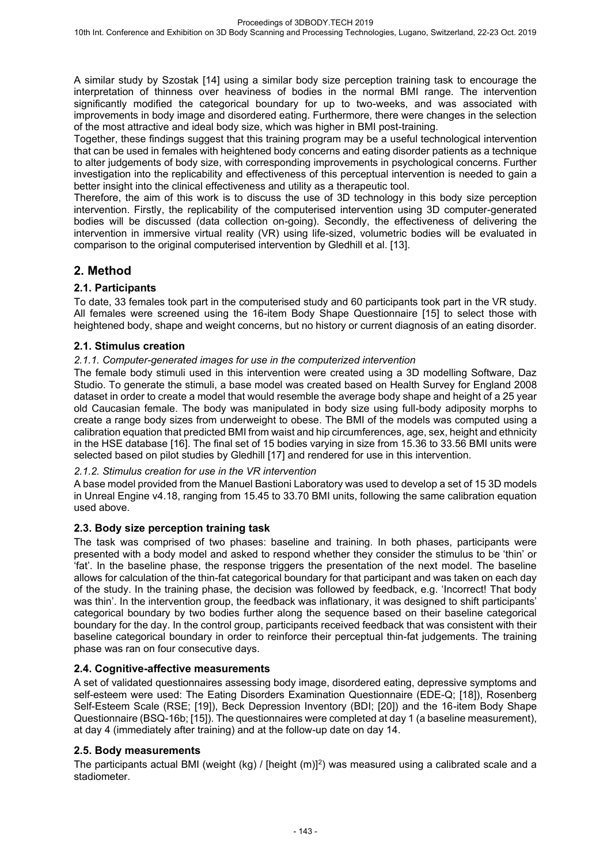A similar study by Szostak [14] using a similar body size perception training task to encourage the interpretation of thinness over heaviness of bodies in the normal BMI range. The intervention significantly modified the categorical boundary for up to two-weeks, and was associated with improvements in body image and disordered eating. Furthermore, there were changes in the selection of the most attractive and ideal body size, which was higher in BMI post-training.

Together, these findings suggest that this training program may be a useful technological intervention that can be used in females with heightened body concerns and eating disorder patients as a technique to alter judgements of body size, with corresponding improvements in psychological concerns. Further investigation into the replicability and effectiveness of this perceptual intervention is needed to gain a better insight into the clinical effectiveness and utility as a therapeutic tool.

Therefore, the aim of this work is to discuss the use of 3D technology in this body size perception intervention. Firstly, the replicability of the computerised intervention using 3D computer-generated bodies will be discussed (data collection on-going). Secondly, the effectiveness of delivering the intervention in immersive virtual reality (VR) using life-sized, volumetric bodies will be evaluated in comparison to the original computerised intervention by Gledhill et al. [13].

## **2. Method**

## **2.1. Participants**

To date, 33 females took part in the computerised study and 60 participants took part in the VR study. All females were screened using the 16-item Body Shape Questionnaire [15] to select those with heightened body, shape and weight concerns, but no history or current diagnosis of an eating disorder.

## **2.1. Stimulus creation**

#### *2.1.1. Computer-generated images for use in the computerized intervention*

The female body stimuli used in this intervention were created using a 3D modelling Software, Daz Studio. To generate the stimuli, a base model was created based on Health Survey for England 2008 dataset in order to create a model that would resemble the average body shape and height of a 25 year old Caucasian female. The body was manipulated in body size using full-body adiposity morphs to create a range body sizes from underweight to obese. The BMI of the models was computed using a calibration equation that predicted BMI from waist and hip circumferences, age, sex, height and ethnicity in the HSE database [16]. The final set of 15 bodies varying in size from 15.36 to 33.56 BMI units were selected based on pilot studies by Gledhill [17] and rendered for use in this intervention.

## *2.1.2. Stimulus creation for use in the VR intervention*

A base model provided from the Manuel Bastioni Laboratory was used to develop a set of 15 3D models in Unreal Engine v4.18, ranging from 15.45 to 33.70 BMI units, following the same calibration equation used above.

## **2.3. Body size perception training task**

The task was comprised of two phases: baseline and training. In both phases, participants were presented with a body model and asked to respond whether they consider the stimulus to be 'thin' or 'fat'. In the baseline phase, the response triggers the presentation of the next model. The baseline allows for calculation of the thin-fat categorical boundary for that participant and was taken on each day of the study. In the training phase, the decision was followed by feedback, e.g. 'Incorrect! That body was thin'. In the intervention group, the feedback was inflationary, it was designed to shift participants' categorical boundary by two bodies further along the sequence based on their baseline categorical boundary for the day. In the control group, participants received feedback that was consistent with their baseline categorical boundary in order to reinforce their perceptual thin-fat judgements. The training phase was ran on four consecutive days.

## **2.4. Cognitive-affective measurements**

A set of validated questionnaires assessing body image, disordered eating, depressive symptoms and self-esteem were used: The Eating Disorders Examination Questionnaire (EDE-Q; [18]), Rosenberg Self-Esteem Scale (RSE; [19]), Beck Depression Inventory (BDI; [20]) and the 16-item Body Shape Questionnaire (BSQ-16b; [15]). The questionnaires were completed at day 1 (a baseline measurement), at day 4 (immediately after training) and at the follow-up date on day 14.

## **2.5. Body measurements**

The participants actual BMI (weight (kg) / [height  $(m)]<sup>2</sup>$ ) was measured using a calibrated scale and a stadiometer.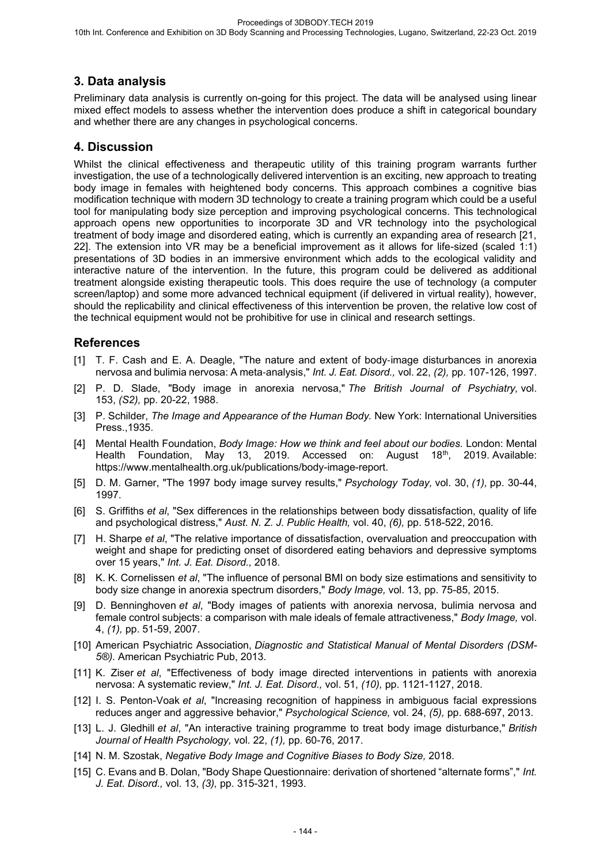## **3. Data analysis**

Preliminary data analysis is currently on-going for this project. The data will be analysed using linear mixed effect models to assess whether the intervention does produce a shift in categorical boundary and whether there are any changes in psychological concerns.

## **4. Discussion**

Whilst the clinical effectiveness and therapeutic utility of this training program warrants further investigation, the use of a technologically delivered intervention is an exciting, new approach to treating body image in females with heightened body concerns. This approach combines a cognitive bias modification technique with modern 3D technology to create a training program which could be a useful tool for manipulating body size perception and improving psychological concerns. This technological approach opens new opportunities to incorporate 3D and VR technology into the psychological treatment of body image and disordered eating, which is currently an expanding area of research [21, 22]. The extension into VR may be a beneficial improvement as it allows for life-sized (scaled 1:1) presentations of 3D bodies in an immersive environment which adds to the ecological validity and interactive nature of the intervention. In the future, this program could be delivered as additional treatment alongside existing therapeutic tools. This does require the use of technology (a computer screen/laptop) and some more advanced technical equipment (if delivered in virtual reality), however, should the replicability and clinical effectiveness of this intervention be proven, the relative low cost of the technical equipment would not be prohibitive for use in clinical and research settings.

## **References**

- [1] T. F. Cash and E. A. Deagle, "The nature and extent of body-image disturbances in anorexia nervosa and bulimia nervosa: A meta-analysis," *Int. J. Eat. Disord.,* vol. 22, *(2),* pp. 107-126, 1997.
- [2] P. D. Slade, "Body image in anorexia nervosa," *The British Journal of Psychiatry,* vol. 153, *(S2),* pp. 20-22, 1988.
- [3] P. Schilder, *The Image and Appearance of the Human Body.* New York: International Universities Press.,1935.
- [4] Mental Health Foundation, *Body Image: How we think and feel about our bodies.* London: Mental Health Foundation, May 13, 2019. Accessed on: August 18th, 2019. Available: https://www.mentalhealth.org.uk/publications/body-image-report.
- [5] D. M. Garner, "The 1997 body image survey results," *Psychology Today,* vol. 30, *(1),* pp. 30-44, 1997.
- [6] S. Griffiths *et al*, "Sex differences in the relationships between body dissatisfaction, quality of life and psychological distress," *Aust. N. Z. J. Public Health,* vol. 40, *(6),* pp. 518-522, 2016.
- [7] H. Sharpe *et al*, "The relative importance of dissatisfaction, overvaluation and preoccupation with weight and shape for predicting onset of disordered eating behaviors and depressive symptoms over 15 years," *Int. J. Eat. Disord.,* 2018.
- [8] K. K. Cornelissen *et al*, "The influence of personal BMI on body size estimations and sensitivity to body size change in anorexia spectrum disorders," *Body Image,* vol. 13, pp. 75-85, 2015.
- [9] D. Benninghoven *et al*, "Body images of patients with anorexia nervosa, bulimia nervosa and female control subjects: a comparison with male ideals of female attractiveness," *Body Image,* vol. 4, *(1),* pp. 51-59, 2007.
- [10] American Psychiatric Association, *Diagnostic and Statistical Manual of Mental Disorders (DSM-5®).* American Psychiatric Pub, 2013.
- [11] K. Ziser *et al*, "Effectiveness of body image directed interventions in patients with anorexia nervosa: A systematic review," *Int. J. Eat. Disord.,* vol. 51, *(10),* pp. 1121-1127, 2018.
- [12] I. S. Penton-Voak *et al*, "Increasing recognition of happiness in ambiguous facial expressions reduces anger and aggressive behavior," *Psychological Science,* vol. 24, *(5),* pp. 688-697, 2013.
- [13] L. J. Gledhill *et al*, "An interactive training programme to treat body image disturbance," *British Journal of Health Psychology,* vol. 22, *(1),* pp. 60-76, 2017.
- [14] N. M. Szostak, *Negative Body Image and Cognitive Biases to Body Size,* 2018.
- [15] C. Evans and B. Dolan, "Body Shape Questionnaire: derivation of shortened "alternate forms"," *Int. J. Eat. Disord.,* vol. 13, *(3),* pp. 315-321, 1993.